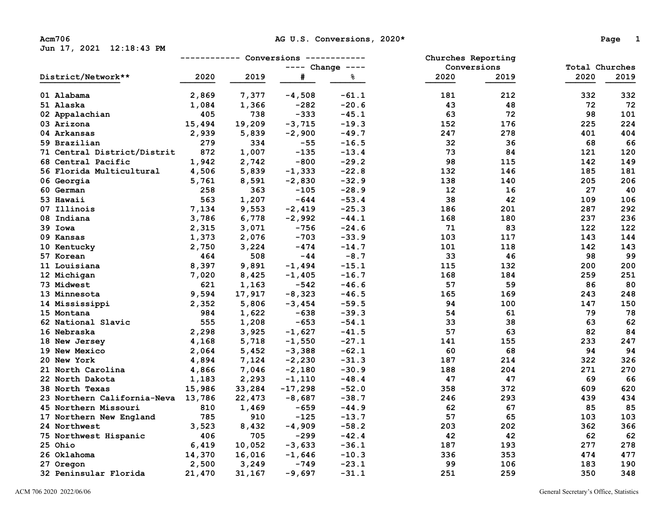**Jun 17, 2021 12:18:43 PM** 

| District/Network**          | ------------ |        | Conversions        | ------------ | Churches Reporting |      |                |      |  |
|-----------------------------|--------------|--------|--------------------|--------------|--------------------|------|----------------|------|--|
|                             |              |        | $---$ Change $---$ |              | Conversions        |      | Total Churches |      |  |
|                             | 2020         | 2019   | #                  | နွ           | 2020               | 2019 | 2020           | 2019 |  |
| 01 Alabama                  | 2,869        | 7,377  | $-4,508$           | $-61.1$      | 181                | 212  | 332            | 332  |  |
| 51 Alaska                   | 1,084        | 1,366  | $-282$             | $-20.6$      | 43                 | 48   | 72             | 72   |  |
| 02 Appalachian              | 405          | 738    | $-333$             | $-45.1$      | 63                 | 72   | 98             | 101  |  |
| 03 Arizona                  | 15,494       | 19,209 | $-3,715$           | $-19.3$      | 152                | 176  | 225            | 224  |  |
| 04 Arkansas                 | 2,939        | 5,839  | $-2,900$           | $-49.7$      | 247                | 278  | 401            | 404  |  |
| 59 Brazilian                | 279          | 334    | $-55$              | $-16.5$      | 32                 | 36   | 68             | 66   |  |
| 71 Central District/Distrit | 872          | 1,007  | $-135$             | $-13.4$      | 73                 | 84   | 121            | 120  |  |
| 68 Central Pacific          | 1,942        | 2,742  | $-800$             | $-29.2$      | 98                 | 115  | 142            | 149  |  |
| 56 Florida Multicultural    | 4,506        | 5,839  | $-1,333$           | $-22.8$      | 132                | 146  | 185            | 181  |  |
| 06 Georgia                  | 5,761        | 8,591  | $-2,830$           | $-32.9$      | 138                | 140  | 205            | 206  |  |
| 60 German                   | 258          | 363    | $-105$             | $-28.9$      | 12                 | 16   | 27             | 40   |  |
| 53 Hawaii                   | 563          | 1,207  | $-644$             | $-53.4$      | 38                 | 42   | 109            | 106  |  |
| 07 Illinois                 | 7,134        | 9,553  | $-2,419$           | $-25.3$      | 186                | 201  | 287            | 292  |  |
| 08 Indiana                  | 3,786        | 6,778  | $-2,992$           | $-44.1$      | 168                | 180  | 237            | 236  |  |
| 39 Iowa                     | 2,315        | 3,071  | $-756$             | $-24.6$      | 71                 | 83   | 122            | 122  |  |
| 09 Kansas                   | 1,373        | 2,076  | $-703$             | $-33.9$      | 103                | 117  | 143            | 144  |  |
| 10 Kentucky                 | 2,750        | 3,224  | $-474$             | $-14.7$      | 101                | 118  | 142            | 143  |  |
| 57 Korean                   | 464          | 508    | $-44$              | $-8.7$       | 33                 | 46   | 98             | 99   |  |
| 11 Louisiana                | 8,397        | 9,891  | $-1,494$           | $-15.1$      | 115                | 132  | 200            | 200  |  |
| 12 Michigan                 | 7,020        | 8,425  | $-1,405$           | $-16.7$      | 168                | 184  | 259            | 251  |  |
| 73 Midwest                  | 621          | 1,163  | $-542$             | $-46.6$      | 57                 | 59   | 86             | 80   |  |
| 13 Minnesota                | 9,594        | 17,917 | $-8,323$           | $-46.5$      | 165                | 169  | 243            | 248  |  |
| 14 Mississippi              | 2,352        | 5,806  | $-3,454$           | $-59.5$      | 94                 | 100  | 147            | 150  |  |
| 15 Montana                  | 984          | 1,622  | $-638$             | $-39.3$      | 54                 | 61   | 79             | 78   |  |
| 62 National Slavic          | 555          | 1,208  | $-653$             | $-54.1$      | 33                 | 38   | 63             | 62   |  |
| 16 Nebraska                 | 2,298        | 3,925  | $-1,627$           | $-41.5$      | 57                 | 63   | 82             | 84   |  |
| 18 New Jersey               | 4,168        | 5,718  | $-1,550$           | $-27.1$      | 141                | 155  | 233            | 247  |  |
| 19 New Mexico               | 2,064        | 5,452  | $-3,388$           | $-62.1$      | 60                 | 68   | 94             | 94   |  |
| 20 New York                 | 4,894        | 7,124  | $-2,230$           | $-31.3$      | 187                | 214  | 322            | 326  |  |
| 21 North Carolina           | 4,866        | 7,046  | $-2,180$           | $-30.9$      | 188                | 204  | 271            | 270  |  |
| 22 North Dakota             | 1,183        | 2,293  | $-1,110$           | $-48.4$      | 47                 | 47   | 69             | 66   |  |
| 38 North Texas              | 15,986       | 33,284 | $-17,298$          | $-52.0$      | 358                | 372  | 609            | 620  |  |
| 23 Northern California-Neva | 13,786       | 22,473 | $-8,687$           | $-38.7$      | 246                | 293  | 439            | 434  |  |
| 45 Northern Missouri        | 810          | 1,469  | $-659$             | $-44.9$      | 62                 | 67   | 85             | 85   |  |
| 17 Northern New England     | 785          | 910    | $-125$             | $-13.7$      | 57                 | 65   | 103            | 103  |  |
| 24 Northwest                | 3,523        | 8,432  | $-4,909$           | $-58.2$      | 203                | 202  | 362            | 366  |  |
| 75 Northwest Hispanic       | 406          | 705    | $-299$             | $-42.4$      | 42                 | 42   | 62             | 62   |  |
| 25 Ohio                     | 6,419        | 10,052 | $-3,633$           | $-36.1$      | 187                | 193  | 277            | 278  |  |
| 26 Oklahoma                 | 14,370       | 16,016 | $-1,646$           | $-10.3$      | 336                | 353  | 474            | 477  |  |
| 27 Oregon                   | 2,500        | 3,249  | $-749$             | $-23.1$      | 99                 | 106  | 183            | 190  |  |
| 32 Peninsular Florida       | 21,470       | 31,167 | $-9,697$           | $-31.1$      | 251                | 259  | 350            | 348  |  |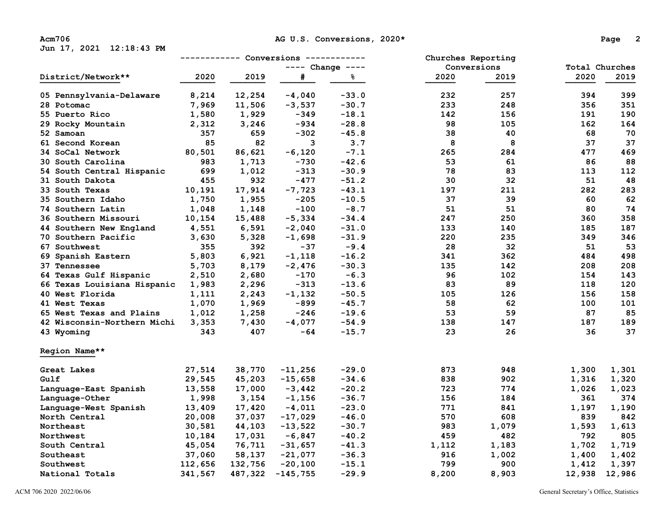**Jun 17, 2021 12:18:43 PM** 

|                             | ------------ Conversions<br>------------ |         |                    |         | Churches Reporting |       |                |        |
|-----------------------------|------------------------------------------|---------|--------------------|---------|--------------------|-------|----------------|--------|
|                             |                                          |         | $---$ Change $---$ |         | Conversions        |       | Total Churches |        |
| District/Network**          | 2020                                     | 2019    | #                  | နွ      | 2020               | 2019  | 2020           | 2019   |
| 05 Pennsylvania-Delaware    | 8,214                                    | 12,254  | $-4,040$           | $-33.0$ | 232                | 257   | 394            | 399    |
| 28 Potomac                  | 7,969                                    | 11,506  | $-3,537$           | $-30.7$ | 233                | 248   | 356            | 351    |
| 55 Puerto Rico              | 1,580                                    | 1,929   | $-349$             | $-18.1$ | 142                | 156   | 191            | 190    |
| 29 Rocky Mountain           | 2,312                                    | 3,246   | $-934$             | $-28.8$ | 98                 | 105   | 162            | 164    |
| 52 Samoan                   | 357                                      | 659     | $-302$             | $-45.8$ | 38                 | 40    | 68             | 70     |
| 61 Second Korean            | 85                                       | 82      | 3                  | 3.7     | 8                  | 8     | 37             | 37     |
| 34 SoCal Network            | 80,501                                   | 86,621  | $-6,120$           | $-7.1$  | 265                | 284   | 477            | 469    |
| 30 South Carolina           | 983                                      | 1,713   | $-730$             | $-42.6$ | 53                 | 61    | 86             | 88     |
| 54 South Central Hispanic   | 699                                      | 1,012   | $-313$             | $-30.9$ | 78                 | 83    | 113            | 112    |
| 31 South Dakota             | 455                                      | 932     | -477               | $-51.2$ | 30                 | 32    | 51             | 48     |
| 33 South Texas              | 10,191                                   | 17,914  | $-7,723$           | $-43.1$ | 197                | 211   | 282            | 283    |
| 35 Southern Idaho           | 1,750                                    | 1,955   | $-205$             | $-10.5$ | 37                 | 39    | 60             | 62     |
| 74 Southern Latin           | 1,048                                    | 1,148   | $-100$             | $-8.7$  | 51                 | 51    | 80             | 74     |
| 36 Southern Missouri        | 10,154                                   | 15,488  | $-5,334$           | $-34.4$ | 247                | 250   | 360            | 358    |
| 44 Southern New England     | 4,551                                    | 6,591   | $-2,040$           | $-31.0$ | 133                | 140   | 185            | 187    |
| 70 Southern Pacific         | 3,630                                    | 5,328   | $-1,698$           | $-31.9$ | 220                | 235   | 349            | 346    |
| 67 Southwest                | 355                                      | 392     | $-37$              | $-9.4$  | 28                 | 32    | 51             | 53     |
| 69 Spanish Eastern          | 5,803                                    | 6,921   | $-1,118$           | $-16.2$ | 341                | 362   | 484            | 498    |
| 37 Tennessee                | 5,703                                    | 8,179   | $-2,476$           | $-30.3$ | 135                | 142   | 208            | 208    |
| 64 Texas Gulf Hispanic      | 2,510                                    | 2,680   | $-170$             | $-6.3$  | 96                 | 102   | 154            | 143    |
| 66 Texas Louisiana Hispanic | 1,983                                    | 2,296   | $-313$             | $-13.6$ | 83                 | 89    | 118            | 120    |
| 40 West Florida             | 1,111                                    | 2,243   | $-1,132$           | $-50.5$ | 105                | 126   | 156            | 158    |
| 41 West Texas               | 1,070                                    | 1,969   | $-899$             | $-45.7$ | 58                 | 62    | 100            | 101    |
| 65 West Texas and Plains    | 1,012                                    | 1,258   | $-246$             | $-19.6$ | 53                 | 59    | 87             | 85     |
| 42 Wisconsin-Northern Michi | 3,353                                    | 7,430   | $-4,077$           | $-54.9$ | 138                | 147   | 187            | 189    |
| 43 Wyoming                  | 343                                      | 407     | $-64$              | $-15.7$ | 23                 | 26    | 36             | 37     |
| Region Name**               |                                          |         |                    |         |                    |       |                |        |
| Great Lakes                 | 27,514                                   | 38,770  | $-11,256$          | $-29.0$ | 873                | 948   | 1,300          | 1,301  |
| Gulf                        | 29,545                                   | 45,203  | $-15,658$          | $-34.6$ | 838                | 902   | 1,316          | 1,320  |
| Language-East Spanish       | 13,558                                   | 17,000  | $-3,442$           | $-20.2$ | 723                | 774   | 1,026          | 1,023  |
| Language-Other              | 1,998                                    | 3,154   | $-1,156$           | $-36.7$ | 156                | 184   | 361            | 374    |
| Language-West Spanish       | 13,409                                   | 17,420  | $-4,011$           | $-23.0$ | 771                | 841   | 1,197          | 1,190  |
| North Central               | 20,008                                   | 37,037  | $-17,029$          | $-46.0$ | 570                | 608   | 839            | 842    |
| Northeast                   | 30,581                                   | 44,103  | $-13,522$          | $-30.7$ | 983                | 1,079 | 1,593          | 1,613  |
| Northwest                   | 10,184                                   | 17,031  | $-6,847$           | $-40.2$ | 459                | 482   | 792            | 805    |
| South Central               | 45,054                                   | 76,711  | $-31,657$          | $-41.3$ | 1,112              | 1,183 | 1,702          | 1,719  |
| Southeast                   | 37,060                                   | 58,137  | $-21,077$          | $-36.3$ | 916                | 1,002 | 1,400          | 1,402  |
| Southwest                   | 112,656                                  | 132,756 | $-20,100$          | $-15.1$ | 799                | 900   | 1,412          | 1,397  |
| National Totals             | 341,567                                  | 487,322 | $-145,755$         | $-29.9$ | 8,200              | 8,903 | 12,938         | 12,986 |